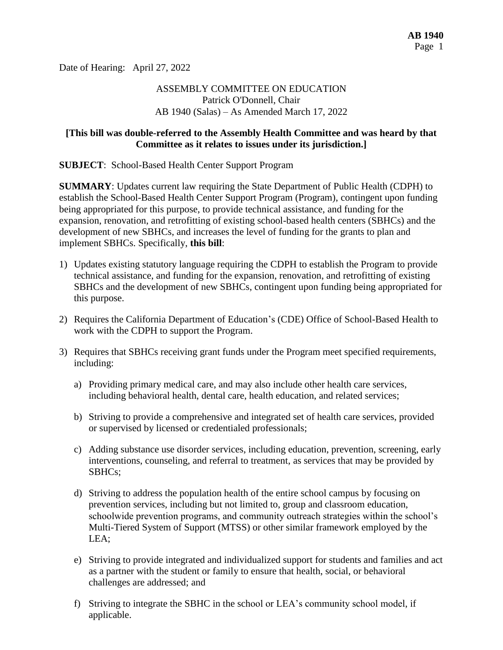Date of Hearing: April 27, 2022

# ASSEMBLY COMMITTEE ON EDUCATION Patrick O'Donnell, Chair AB 1940 (Salas) – As Amended March 17, 2022

## **[This bill was double-referred to the Assembly Health Committee and was heard by that Committee as it relates to issues under its jurisdiction.]**

**SUBJECT**: School-Based Health Center Support Program

**SUMMARY**: Updates current law requiring the State Department of Public Health (CDPH) to establish the School-Based Health Center Support Program (Program), contingent upon funding being appropriated for this purpose, to provide technical assistance, and funding for the expansion, renovation, and retrofitting of existing school-based health centers (SBHCs) and the development of new SBHCs, and increases the level of funding for the grants to plan and implement SBHCs. Specifically, **this bill**:

- 1) Updates existing statutory language requiring the CDPH to establish the Program to provide technical assistance, and funding for the expansion, renovation, and retrofitting of existing SBHCs and the development of new SBHCs, contingent upon funding being appropriated for this purpose.
- 2) Requires the California Department of Education's (CDE) Office of School-Based Health to work with the CDPH to support the Program.
- 3) Requires that SBHCs receiving grant funds under the Program meet specified requirements, including:
	- a) Providing primary medical care, and may also include other health care services, including behavioral health, dental care, health education, and related services;
	- b) Striving to provide a comprehensive and integrated set of health care services, provided or supervised by licensed or credentialed professionals;
	- c) Adding substance use disorder services, including education, prevention, screening, early interventions, counseling, and referral to treatment, as services that may be provided by SBHCs;
	- d) Striving to address the population health of the entire school campus by focusing on prevention services, including but not limited to, group and classroom education, schoolwide prevention programs, and community outreach strategies within the school's Multi-Tiered System of Support (MTSS) or other similar framework employed by the LEA;
	- e) Striving to provide integrated and individualized support for students and families and act as a partner with the student or family to ensure that health, social, or behavioral challenges are addressed; and
	- f) Striving to integrate the SBHC in the school or LEA's community school model, if applicable.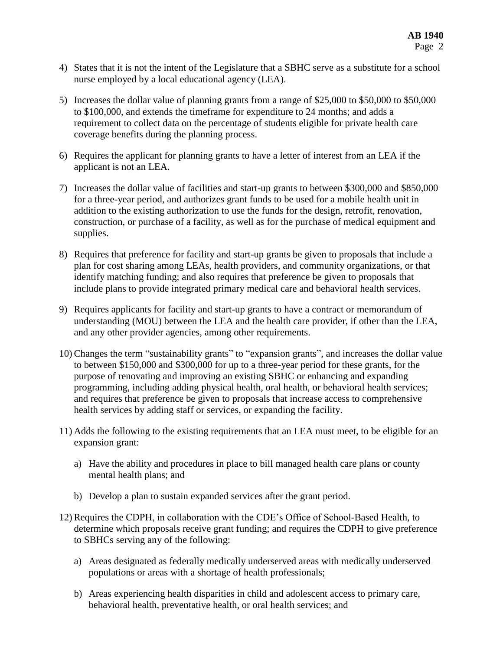- 4) States that it is not the intent of the Legislature that a SBHC serve as a substitute for a school nurse employed by a local educational agency (LEA).
- 5) Increases the dollar value of planning grants from a range of \$25,000 to \$50,000 to \$50,000 to \$100,000, and extends the timeframe for expenditure to 24 months; and adds a requirement to collect data on the percentage of students eligible for private health care coverage benefits during the planning process.
- 6) Requires the applicant for planning grants to have a letter of interest from an LEA if the applicant is not an LEA.
- 7) Increases the dollar value of facilities and start-up grants to between \$300,000 and \$850,000 for a three-year period, and authorizes grant funds to be used for a mobile health unit in addition to the existing authorization to use the funds for the design, retrofit, renovation, construction, or purchase of a facility, as well as for the purchase of medical equipment and supplies.
- 8) Requires that preference for facility and start-up grants be given to proposals that include a plan for cost sharing among LEAs, health providers, and community organizations, or that identify matching funding; and also requires that preference be given to proposals that include plans to provide integrated primary medical care and behavioral health services.
- 9) Requires applicants for facility and start-up grants to have a contract or memorandum of understanding (MOU) between the LEA and the health care provider, if other than the LEA, and any other provider agencies, among other requirements.
- 10) Changes the term "sustainability grants" to "expansion grants", and increases the dollar value to between \$150,000 and \$300,000 for up to a three-year period for these grants, for the purpose of renovating and improving an existing SBHC or enhancing and expanding programming, including adding physical health, oral health, or behavioral health services; and requires that preference be given to proposals that increase access to comprehensive health services by adding staff or services, or expanding the facility.
- 11) Adds the following to the existing requirements that an LEA must meet, to be eligible for an expansion grant:
	- a) Have the ability and procedures in place to bill managed health care plans or county mental health plans; and
	- b) Develop a plan to sustain expanded services after the grant period.
- 12) Requires the CDPH, in collaboration with the CDE's Office of School-Based Health, to determine which proposals receive grant funding; and requires the CDPH to give preference to SBHCs serving any of the following:
	- a) Areas designated as federally medically underserved areas with medically underserved populations or areas with a shortage of health professionals;
	- b) Areas experiencing health disparities in child and adolescent access to primary care, behavioral health, preventative health, or oral health services; and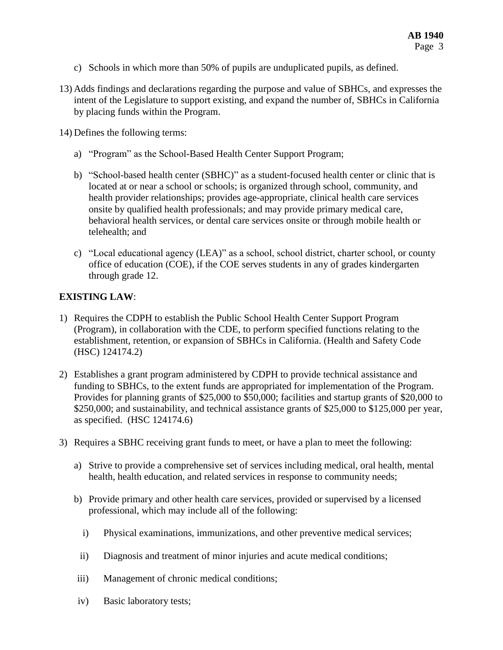- c) Schools in which more than 50% of pupils are unduplicated pupils, as defined.
- 13) Adds findings and declarations regarding the purpose and value of SBHCs, and expresses the intent of the Legislature to support existing, and expand the number of, SBHCs in California by placing funds within the Program.

14) Defines the following terms:

- a) "Program" as the School-Based Health Center Support Program;
- b) "School-based health center (SBHC)" as a student-focused health center or clinic that is located at or near a school or schools; is organized through school, community, and health provider relationships; provides age-appropriate, clinical health care services onsite by qualified health professionals; and may provide primary medical care, behavioral health services, or dental care services onsite or through mobile health or telehealth; and
- c) "Local educational agency (LEA)" as a school, school district, charter school, or county office of education (COE), if the COE serves students in any of grades kindergarten through grade 12.

### **EXISTING LAW**:

- 1) Requires the CDPH to establish the Public School Health Center Support Program (Program), in collaboration with the CDE, to perform specified functions relating to the establishment, retention, or expansion of SBHCs in California. (Health and Safety Code (HSC) 124174.2)
- 2) Establishes a grant program administered by CDPH to provide technical assistance and funding to SBHCs, to the extent funds are appropriated for implementation of the Program. Provides for planning grants of \$25,000 to \$50,000; facilities and startup grants of \$20,000 to \$250,000; and sustainability, and technical assistance grants of \$25,000 to \$125,000 per year, as specified. (HSC 124174.6)
- 3) Requires a SBHC receiving grant funds to meet, or have a plan to meet the following:
	- a) Strive to provide a comprehensive set of services including medical, oral health, mental health, health education, and related services in response to community needs;
	- b) Provide primary and other health care services, provided or supervised by a licensed professional, which may include all of the following:
		- i) Physical examinations, immunizations, and other preventive medical services;
		- ii) Diagnosis and treatment of minor injuries and acute medical conditions;
	- iii) Management of chronic medical conditions;
	- iv) Basic laboratory tests;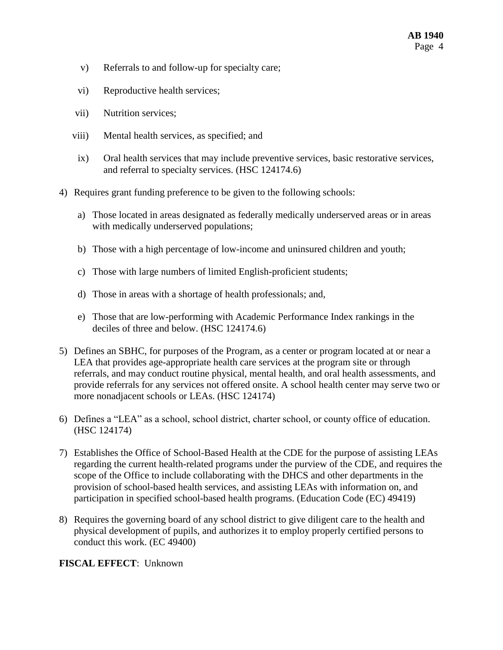- v) Referrals to and follow-up for specialty care;
- vi) Reproductive health services;
- vii) Nutrition services;
- viii) Mental health services, as specified; and
- ix) Oral health services that may include preventive services, basic restorative services, and referral to specialty services. (HSC 124174.6)
- 4) Requires grant funding preference to be given to the following schools:
	- a) Those located in areas designated as federally medically underserved areas or in areas with medically underserved populations;
	- b) Those with a high percentage of low-income and uninsured children and youth;
	- c) Those with large numbers of limited English-proficient students;
	- d) Those in areas with a shortage of health professionals; and,
	- e) Those that are low-performing with Academic Performance Index rankings in the deciles of three and below. (HSC 124174.6)
- 5) Defines an SBHC, for purposes of the Program, as a center or program located at or near a LEA that provides age-appropriate health care services at the program site or through referrals, and may conduct routine physical, mental health, and oral health assessments, and provide referrals for any services not offered onsite. A school health center may serve two or more nonadjacent schools or LEAs. (HSC 124174)
- 6) Defines a "LEA" as a school, school district, charter school, or county office of education. (HSC 124174)
- 7) Establishes the Office of School-Based Health at the CDE for the purpose of assisting LEAs regarding the current health-related programs under the purview of the CDE, and requires the scope of the Office to include collaborating with the DHCS and other departments in the provision of school-based health services, and assisting LEAs with information on, and participation in specified school-based health programs. (Education Code (EC) 49419)
- 8) Requires the governing board of any school district to give diligent care to the health and physical development of pupils, and authorizes it to employ properly certified persons to conduct this work. (EC 49400)

### **FISCAL EFFECT**: Unknown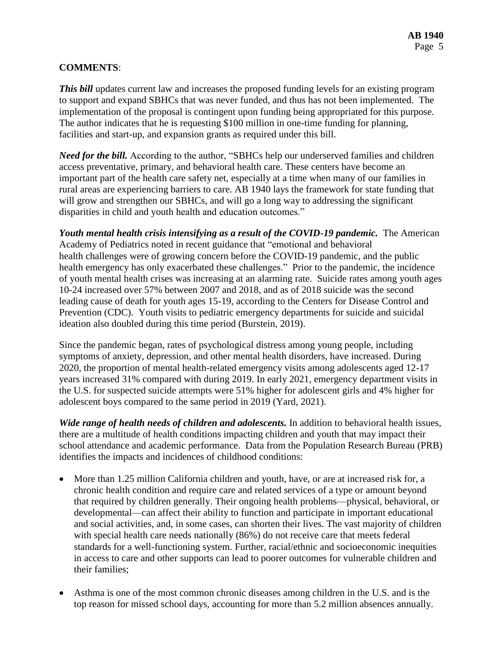## **COMMENTS**:

*This bill* updates current law and increases the proposed funding levels for an existing program to support and expand SBHCs that was never funded, and thus has not been implemented. The implementation of the proposal is contingent upon funding being appropriated for this purpose. The author indicates that he is requesting \$100 million in one-time funding for planning, facilities and start-up, and expansion grants as required under this bill.

*Need for the bill.* According to the author, "SBHCs help our underserved families and children access preventative, primary, and behavioral health care. These centers have become an important part of the health care safety net, especially at a time when many of our families in rural areas are experiencing barriers to care. AB 1940 lays the framework for state funding that will grow and strengthen our SBHCs, and will go a long way to addressing the significant disparities in child and youth health and education outcomes."

*Youth mental health crisis intensifying as a result of the COVID-19 pandemic.* The American Academy of Pediatrics noted in recent guidance that "emotional and behavioral health challenges were of growing concern before the COVID-19 pandemic, and the public health emergency has only exacerbated these challenges." Prior to the pandemic, the incidence of youth mental health crises was increasing at an alarming rate. Suicide rates among youth ages 10-24 increased over 57% between 2007 and 2018, and as of 2018 suicide was the second leading cause of death for youth ages 15-19, according to the Centers for Disease Control and Prevention (CDC). Youth visits to pediatric emergency departments for suicide and suicidal ideation also doubled during this time period (Burstein, 2019).

Since the pandemic began, rates of psychological distress among young people, including symptoms of anxiety, depression, and other mental health disorders, have increased. During 2020, the proportion of mental health-related emergency visits among adolescents aged 12-17 years increased 31% compared with during 2019. In early 2021, emergency department visits in the U.S. for suspected suicide attempts were 51% higher for adolescent girls and 4% higher for adolescent boys compared to the same period in 2019 (Yard, 2021).

*Wide range of health needs of children and adolescents.* In addition to behavioral health issues, there are a multitude of health conditions impacting children and youth that may impact their school attendance and academic performance. Data from the Population Research Bureau (PRB) identifies the impacts and incidences of childhood conditions:

- More than 1.25 million California children and youth, have, or are at increased risk for, a chronic health condition and require care and related services of a type or amount beyond that required by children generally. Their ongoing health problems—physical, behavioral, or developmental—can affect their ability to function and participate in important educational and social activities, and, in some cases, can shorten their lives. The vast majority of children with special health care needs nationally (86%) do not receive care that meets federal standards for a well-functioning system. Further, racial/ethnic and socioeconomic inequities in access to care and other supports can lead to poorer outcomes for vulnerable children and their families;
- Asthma is one of the most common chronic diseases among children in the U.S. and is the top reason for missed school days, accounting for more than 5.2 million absences annually.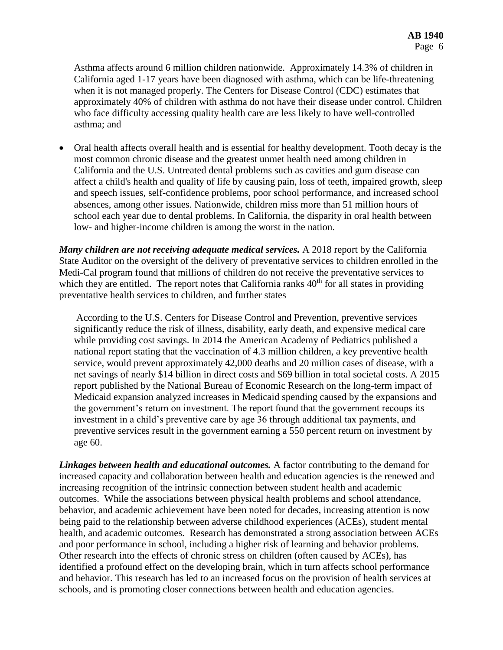Asthma affects around 6 million children nationwide. Approximately 14.3% of children in California aged 1-17 years have been diagnosed with asthma, which can be life-threatening when it is not managed properly. The Centers for Disease Control (CDC) estimates that approximately 40% of children with asthma do not have their disease under control. Children who face difficulty accessing quality health care are less likely to have well-controlled asthma; and

 Oral health affects overall health and is essential for healthy development. Tooth decay is the most common chronic disease and the greatest unmet health need among children in California and the U.S. Untreated dental problems such as cavities and gum disease can affect a child's health and quality of life by causing pain, loss of teeth, impaired growth, sleep and speech issues, self-confidence problems, poor school performance, and increased school absences, among other issues. Nationwide, children miss more than 51 million hours of school each year due to dental problems. In California, the disparity in oral health between low- and higher-income children is among the worst in the nation.

*Many children are not receiving adequate medical services.* A 2018 report by the California State Auditor on the oversight of the delivery of preventative services to children enrolled in the Medi-Cal program found that millions of children do not receive the preventative services to which they are entitled. The report notes that California ranks  $40<sup>th</sup>$  for all states in providing preventative health services to children, and further states

According to the U.S. Centers for Disease Control and Prevention, preventive services significantly reduce the risk of illness, disability, early death, and expensive medical care while providing cost savings. In 2014 the American Academy of Pediatrics published a national report stating that the vaccination of 4.3 million children, a key preventive health service, would prevent approximately 42,000 deaths and 20 million cases of disease, with a net savings of nearly \$14 billion in direct costs and \$69 billion in total societal costs. A 2015 report published by the National Bureau of Economic Research on the long-term impact of Medicaid expansion analyzed increases in Medicaid spending caused by the expansions and the government's return on investment. The report found that the government recoups its investment in a child's preventive care by age 36 through additional tax payments, and preventive services result in the government earning a 550 percent return on investment by age 60.

*Linkages between health and educational outcomes.* A factor contributing to the demand for increased capacity and collaboration between health and education agencies is the renewed and increasing recognition of the intrinsic connection between student health and academic outcomes. While the associations between physical health problems and school attendance, behavior, and academic achievement have been noted for decades, increasing attention is now being paid to the relationship between adverse childhood experiences (ACEs), student mental health, and academic outcomes. Research has demonstrated a strong association between ACEs and poor performance in school, including a higher risk of learning and behavior problems. Other research into the effects of chronic stress on children (often caused by ACEs), has identified a profound effect on the developing brain, which in turn affects school performance and behavior. This research has led to an increased focus on the provision of health services at schools, and is promoting closer connections between health and education agencies.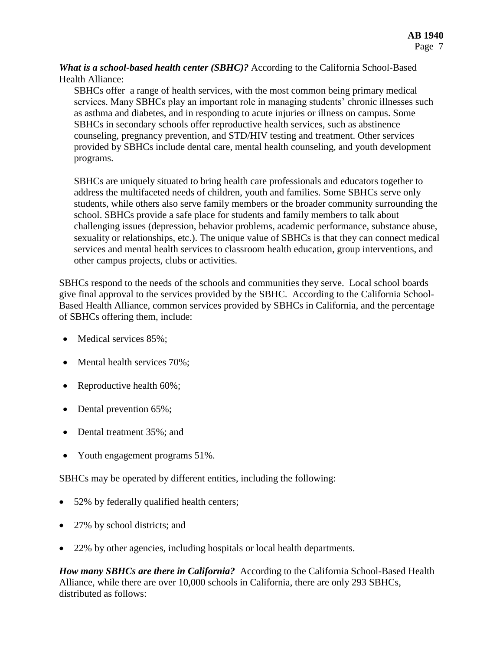*What is a school-based health center (SBHC)?* According to the California School-Based Health Alliance:

SBHCs offer a range of health services, with the most common being primary medical services. Many SBHCs play an important role in managing students' chronic illnesses such as asthma and diabetes, and in responding to acute injuries or illness on campus. Some SBHCs in secondary schools offer reproductive health services, such as abstinence counseling, pregnancy prevention, and STD/HIV testing and treatment. Other services provided by SBHCs include dental care, mental health counseling, and youth development programs.

SBHCs are uniquely situated to bring health care professionals and educators together to address the multifaceted needs of children, youth and families. Some SBHCs serve only students, while others also serve family members or the broader community surrounding the school. SBHCs provide a safe place for students and family members to talk about challenging issues (depression, behavior problems, academic performance, substance abuse, sexuality or relationships, etc.). The unique value of SBHCs is that they can connect medical services and mental health services to classroom health education, group interventions, and other campus projects, clubs or activities.

SBHCs respond to the needs of the schools and communities they serve. Local school boards give final approval to the services provided by the SBHC. According to the California School-Based Health Alliance, common services provided by SBHCs in California, and the percentage of SBHCs offering them, include:

- Medical services 85%;
- Mental health services 70%;
- Reproductive health 60%;
- Dental prevention 65%;
- Dental treatment 35%; and
- Youth engagement programs 51%.

SBHCs may be operated by different entities, including the following:

- 52% by federally qualified health centers;
- 27% by school districts; and
- 22% by other agencies, including hospitals or local health departments.

*How many SBHCs are there in California?* According to the California School-Based Health Alliance, while there are over 10,000 schools in California, there are only 293 SBHCs, distributed as follows: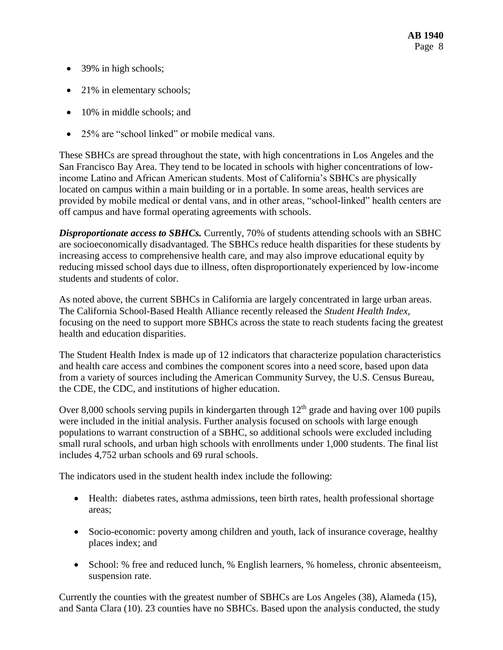- 39% in high schools;
- 21% in elementary schools;
- 10% in middle schools; and
- 25% are "school linked" or mobile medical vans.

These SBHCs are spread throughout the state, with high concentrations in Los Angeles and the San Francisco Bay Area. They tend to be located in schools with higher concentrations of lowincome Latino and African American students. Most of California's SBHCs are physically located on campus within a main building or in a portable. In some areas, health services are provided by mobile medical or dental vans, and in other areas, "school-linked" health centers are off campus and have formal operating agreements with schools.

*Disproportionate access to SBHCs.* Currently, 70% of students attending schools with an SBHC are socioeconomically disadvantaged. The SBHCs reduce health disparities for these students by increasing access to comprehensive health care, and may also improve educational equity by reducing missed school days due to illness, often disproportionately experienced by low-income students and students of color.

As noted above, the current SBHCs in California are largely concentrated in large urban areas. The California School-Based Health Alliance recently released the *Student Health Index,*  focusing on the need to support more SBHCs across the state to reach students facing the greatest health and education disparities.

The Student Health Index is made up of 12 indicators that characterize population characteristics and health care access and combines the component scores into a need score, based upon data from a variety of sources including the American Community Survey, the U.S. Census Bureau, the CDE, the CDC, and institutions of higher education.

Over 8,000 schools serving pupils in kindergarten through  $12<sup>th</sup>$  grade and having over 100 pupils were included in the initial analysis. Further analysis focused on schools with large enough populations to warrant construction of a SBHC, so additional schools were excluded including small rural schools, and urban high schools with enrollments under 1,000 students. The final list includes 4,752 urban schools and 69 rural schools.

The indicators used in the student health index include the following:

- Health: diabetes rates, asthma admissions, teen birth rates, health professional shortage areas;
- Socio-economic: poverty among children and youth, lack of insurance coverage, healthy places index; and
- School: % free and reduced lunch, % English learners, % homeless, chronic absenteeism, suspension rate.

Currently the counties with the greatest number of SBHCs are Los Angeles (38), Alameda (15), and Santa Clara (10). 23 counties have no SBHCs. Based upon the analysis conducted, the study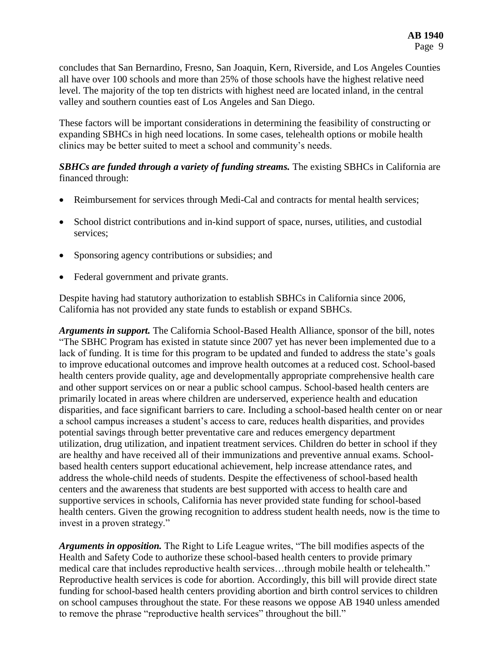concludes that San Bernardino, Fresno, San Joaquin, Kern, Riverside, and Los Angeles Counties all have over 100 schools and more than 25% of those schools have the highest relative need level. The majority of the top ten districts with highest need are located inland, in the central valley and southern counties east of Los Angeles and San Diego.

These factors will be important considerations in determining the feasibility of constructing or expanding SBHCs in high need locations. In some cases, telehealth options or mobile health clinics may be better suited to meet a school and community's needs.

# **SBHCs are funded through a variety of funding streams.** The existing SBHCs in California are financed through:

- Reimbursement for services through Medi-Cal and contracts for mental health services;
- School district contributions and in-kind support of space, nurses, utilities, and custodial services;
- Sponsoring agency contributions or subsidies; and
- Federal government and private grants.

Despite having had statutory authorization to establish SBHCs in California since 2006, California has not provided any state funds to establish or expand SBHCs.

*Arguments in support.* The California School-Based Health Alliance, sponsor of the bill, notes "The SBHC Program has existed in statute since 2007 yet has never been implemented due to a lack of funding. It is time for this program to be updated and funded to address the state's goals to improve educational outcomes and improve health outcomes at a reduced cost. School-based health centers provide quality, age and developmentally appropriate comprehensive health care and other support services on or near a public school campus. School-based health centers are primarily located in areas where children are underserved, experience health and education disparities, and face significant barriers to care. Including a school-based health center on or near a school campus increases a student's access to care, reduces health disparities, and provides potential savings through better preventative care and reduces emergency department utilization, drug utilization, and inpatient treatment services. Children do better in school if they are healthy and have received all of their immunizations and preventive annual exams. Schoolbased health centers support educational achievement, help increase attendance rates, and address the whole-child needs of students. Despite the effectiveness of school-based health centers and the awareness that students are best supported with access to health care and supportive services in schools, California has never provided state funding for school-based health centers. Given the growing recognition to address student health needs, now is the time to invest in a proven strategy."

*Arguments in opposition.* The Right to Life League writes, "The bill modifies aspects of the Health and Safety Code to authorize these school-based health centers to provide primary medical care that includes reproductive health services…through mobile health or telehealth." Reproductive health services is code for abortion. Accordingly, this bill will provide direct state funding for school-based health centers providing abortion and birth control services to children on school campuses throughout the state. For these reasons we oppose AB 1940 unless amended to remove the phrase "reproductive health services" throughout the bill."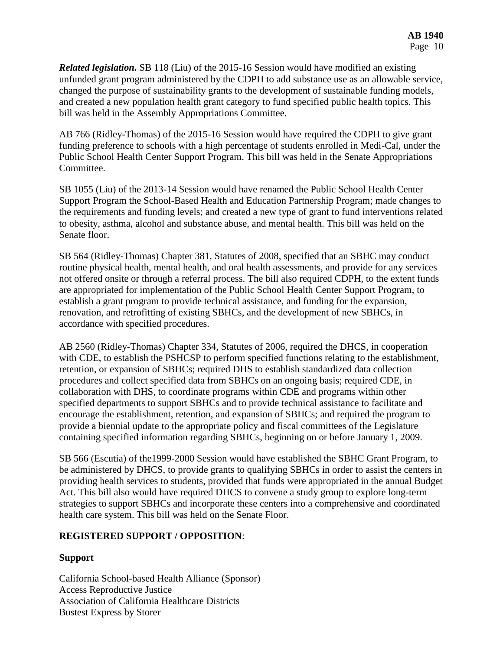*Related legislation.* SB 118 (Liu) of the 2015-16 Session would have modified an existing unfunded grant program administered by the CDPH to add substance use as an allowable service, changed the purpose of sustainability grants to the development of sustainable funding models, and created a new population health grant category to fund specified public health topics. This bill was held in the Assembly Appropriations Committee.

AB 766 (Ridley-Thomas) of the 2015-16 Session would have required the CDPH to give grant funding preference to schools with a high percentage of students enrolled in Medi-Cal, under the Public School Health Center Support Program. This bill was held in the Senate Appropriations Committee.

SB 1055 (Liu) of the 2013-14 Session would have renamed the Public School Health Center Support Program the School-Based Health and Education Partnership Program; made changes to the requirements and funding levels; and created a new type of grant to fund interventions related to obesity, asthma, alcohol and substance abuse, and mental health. This bill was held on the Senate floor.

SB 564 (Ridley-Thomas) Chapter 381, Statutes of 2008, specified that an SBHC may conduct routine physical health, mental health, and oral health assessments, and provide for any services not offered onsite or through a referral process. The bill also required CDPH, to the extent funds are appropriated for implementation of the Public School Health Center Support Program, to establish a grant program to provide technical assistance, and funding for the expansion, renovation, and retrofitting of existing SBHCs, and the development of new SBHCs, in accordance with specified procedures.

AB 2560 (Ridley-Thomas) Chapter 334, Statutes of 2006, required the DHCS, in cooperation with CDE, to establish the PSHCSP to perform specified functions relating to the establishment, retention, or expansion of SBHCs; required DHS to establish standardized data collection procedures and collect specified data from SBHCs on an ongoing basis; required CDE, in collaboration with DHS, to coordinate programs within CDE and programs within other specified departments to support SBHCs and to provide technical assistance to facilitate and encourage the establishment, retention, and expansion of SBHCs; and required the program to provide a biennial update to the appropriate policy and fiscal committees of the Legislature containing specified information regarding SBHCs, beginning on or before January 1, 2009.

SB 566 (Escutia) of the1999-2000 Session would have established the SBHC Grant Program, to be administered by DHCS, to provide grants to qualifying SBHCs in order to assist the centers in providing health services to students, provided that funds were appropriated in the annual Budget Act. This bill also would have required DHCS to convene a study group to explore long-term strategies to support SBHCs and incorporate these centers into a comprehensive and coordinated health care system. This bill was held on the Senate Floor.

# **REGISTERED SUPPORT / OPPOSITION**:

# **Support**

California School-based Health Alliance (Sponsor) Access Reproductive Justice Association of California Healthcare Districts Bustest Express by Storer